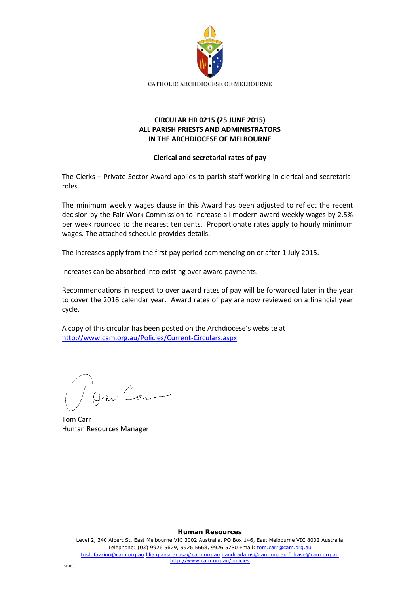

# **CIRCULAR HR 0215 (25 JUNE 2015) ALL PARISH PRIESTS AND ADMINISTRATORS IN THE ARCHDIOCESE OF MELBOURNE**

## **Clerical and secretarial rates of pay**

The Clerks – Private Sector Award applies to parish staff working in clerical and secretarial roles.

The minimum weekly wages clause in this Award has been adjusted to reflect the recent decision by the Fair Work Commission to increase all modern award weekly wages by 2.5% per week rounded to the nearest ten cents. Proportionate rates apply to hourly minimum wages. The attached schedule provides details.

The increases apply from the first pay period commencing on or after 1 July 2015.

Increases can be absorbed into existing over award payments.

Recommendations in respect to over award rates of pay will be forwarded later in the year to cover the 2016 calendar year. Award rates of pay are now reviewed on a financial year cycle.

A copy of this circular has been posted on the Archdiocese's website at <http://www.cam.org.au/Policies/Current-Circulars.aspx>

le Car

Tom Carr Human Resources Manager

#### **Human Resources**